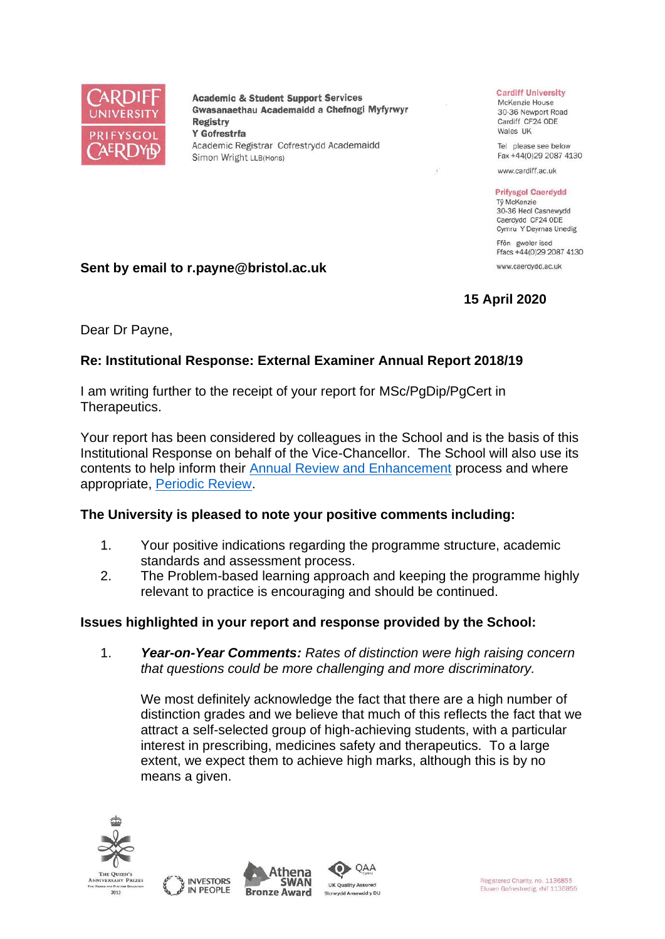

**Academic & Student Support Services** Gwasanaethau Academaidd a Chefnogi Myfyrwyr **Registry** Y Gofrestrfa Academic Registrar Cofrestrydd Academaidd Simon Wright LLB(Hons)

#### **Cardiff University**

McKenzie House 30-36 Newport Road Cardiff CF24 ODE Wales UK

Tel please see below Fax +44(0)29 2087 4130

www.cardiff.ac.uk

#### **Prifysgol Caerdydd**

Tỷ McKenzie 30-36 Heol Casnewydd Caerdydd CF24 ODE Cymru Y Deyrnas Unedig

Ffôn gweler isod Ffacs +44(0)29 2087 4130 www.caerdydd.ac.uk

**15 April 2020**

# **Sent by email to r.payne@bristol.ac.uk**

Dear Dr Payne,

## **Re: Institutional Response: External Examiner Annual Report 2018/19**

I am writing further to the receipt of your report for MSc/PgDip/PgCert in Therapeutics.

Your report has been considered by colleagues in the School and is the basis of this Institutional Response on behalf of the Vice-Chancellor. The School will also use its contents to help inform their [Annual Review and Enhancement](https://www.cardiff.ac.uk/public-information/quality-and-standards/monitoring-and-review/annual-review-and-enhancement) process and where appropriate, [Periodic Review.](http://www.cardiff.ac.uk/public-information/quality-and-standards/monitoring-and-review/periodic-review)

## **The University is pleased to note your positive comments including:**

- 1. Your positive indications regarding the programme structure, academic standards and assessment process.
- 2. The Problem-based learning approach and keeping the programme highly relevant to practice is encouraging and should be continued.

## **Issues highlighted in your report and response provided by the School:**

1. *Year-on-Year Comments: Rates of distinction were high raising concern that questions could be more challenging and more discriminatory.*

We most definitely acknowledge the fact that there are a high number of distinction grades and we believe that much of this reflects the fact that we attract a self-selected group of high-achieving students, with a particular interest in prescribing, medicines safety and therapeutics. To a large extent, we expect them to achieve high marks, although this is by no means a given.